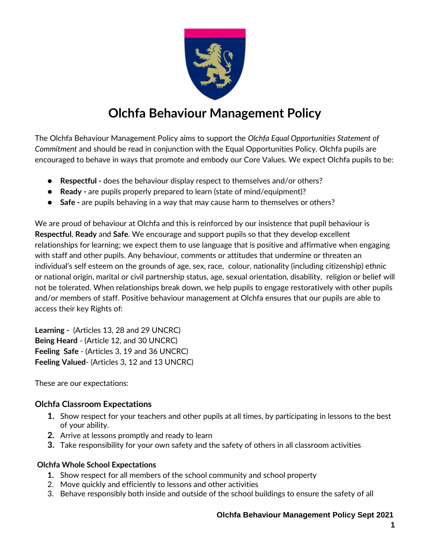

# **Olchfa Behaviour Management Policy**

The Olchfa Behaviour Management Policy aims to support the *Olchfa Equal Opportunities Statement of Commitment* and should be read in conjunction with the Equal Opportunities Policy. Olchfa pupils are encouraged to behave in ways that promote and embody our Core Values. We expect Olchfa pupils to be:

- **Respectful -** does the behaviour display respect to themselves and/or others?
- **Ready -** are pupils properly prepared to learn (state of mind/equipment)?
- **Safe** are pupils behaving in a way that may cause harm to themselves or others?

We are proud of behaviour at Olchfa and this is reinforced by our insistence that pupil behaviour is **Respectful**, **Ready** and **Safe**. We encourage and support pupils so that they develop excellent relationships for learning; we expect them to use language that is positive and affirmative when engaging with staff and other pupils. Any behaviour, comments or attitudes that undermine or threaten an individual's self esteem on the grounds of age, sex, race, colour, nationality (including citizenship) ethnic or national origin, marital or civil partnership status, age, sexual orientation, disability, religion or belief will not be tolerated. When relationships break down, we help pupils to engage restoratively with other pupils and/or members of staff. Positive behaviour management at Olchfa ensures that our pupils are able to access their key Rights of:

**Learning -** (Articles 13, 28 and 29 UNCRC) **Being Heard** - (Article 12, and 30 UNCRC) **Feeling Safe** - (Articles 3, 19 and 36 UNCRC) **Feeling Valued**- (Articles 3, 12 and 13 UNCRC)

These are our expectations:

#### **Olchfa Classroom Expectations**

- **1.** Show respect for your teachers and other pupils at all times, by participating in lessons to the best of your ability.
- **2.** Arrive at lessons promptly and ready to learn
- **3.** Take responsibility for your own safety and the safety of others in all classroom activities

#### **Olchfa Whole School Expectations**

- **1.** Show respect for all members of the school community and school property
- 2. Move quickly and efficiently to lessons and other activities
- 3. Behave responsibly both inside and outside of the school buildings to ensure the safety of all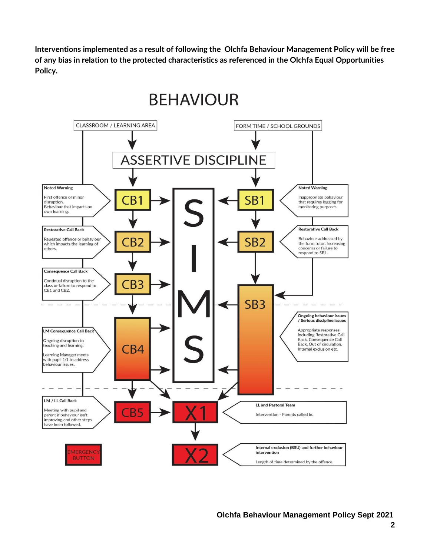**Interventions implemented as a result of following the Olchfa Behaviour Management Policy will be free of any bias in relation to the protected characteristics as referenced in the Olchfa Equal Opportunities Policy.**

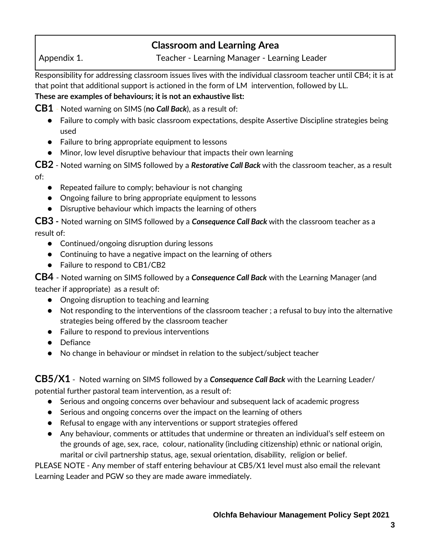# **Classroom and Learning Area**

Appendix 1. Teacher - Learning Manager - Learning Leader

Responsibility for addressing classroom issues lives with the individual classroom teacher until CB4; it is at that point that additional support is actioned in the form of LM intervention, followed by LL. **These are examples of behaviours; it is not an exhaustive list:**

**CB1** - Noted warning on SIMS (**no** *Call Back*), as a result of:

- Failure to comply with basic classroom expectations, despite Assertive Discipline strategies being used
- Failure to bring appropriate equipment to lessons
- Minor, low level disruptive behaviour that impacts their own learning

**CB2** - Noted warning on SIMS followed by a *Restorative Call Back* with the classroom teacher, as a result of:

- Repeated failure to comply; behaviour is not changing
- Ongoing failure to bring appropriate equipment to lessons
- Disruptive behaviour which impacts the learning of others

**CB3 -** Noted warning on SIMS followed by a *Consequence Call Back* with the classroom teacher as a result of:

- Continued/ongoing disruption during lessons
- Continuing to have a negative impact on the learning of others
- Failure to respond to CB1/CB2

**CB4** - Noted warning on SIMS followed by a *Consequence Call Back* with the Learning Manager (and teacher if appropriate) as a result of:

- Ongoing disruption to teaching and learning
- Not responding to the interventions of the classroom teacher ; a refusal to buy into the alternative strategies being offered by the classroom teacher
- Failure to respond to previous interventions
- Defiance
- No change in behaviour or mindset in relation to the subject/subject teacher

**CB5/X1** - Noted warning on SIMS followed by a *Consequence Call Back* with the Learning Leader/ potential further pastoral team intervention, as a result of:

- Serious and ongoing concerns over behaviour and subsequent lack of academic progress
- Serious and ongoing concerns over the impact on the learning of others
- Refusal to engage with any interventions or support strategies offered
- Any behaviour, comments or attitudes that undermine or threaten an individual's self esteem on the grounds of age, sex, race, colour, nationality (including citizenship) ethnic or national origin, marital or civil partnership status, age, sexual orientation, disability, religion or belief.

PLEASE NOTE - Any member of staff entering behaviour at CB5/X1 level must also email the relevant Learning Leader and PGW so they are made aware immediately.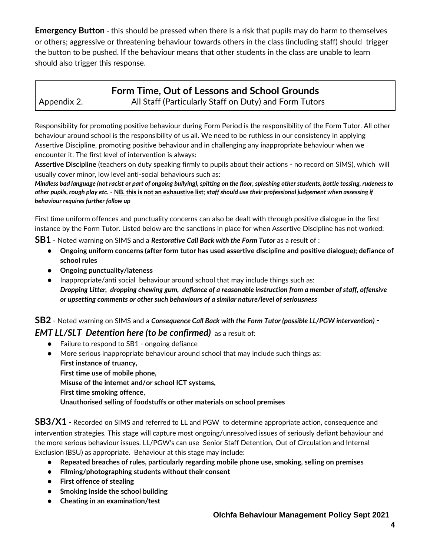**Emergency Button** - this should be pressed when there is a risk that pupils may do harm to themselves or others; aggressive or threatening behaviour towards others in the class (including staff) should trigger the button to be pushed. If the behaviour means that other students in the class are unable to learn should also trigger this response.

### **Form Time, Out of Lessons and School Grounds** Appendix 2. All Staff (Particularly Staff on Duty) and Form Tutors

Responsibility for promoting positive behaviour during Form Period is the responsibility of the Form Tutor. All other behaviour around school is the responsibility of us all. We need to be ruthless in our consistency in applying Assertive Discipline, promoting positive behaviour and in challenging any inappropriate behaviour when we encounter it. The first level of intervention is always:

**Assertive Discipline** (teachers on duty speaking firmly to pupils about their actions - no record on SIMS), which will usually cover minor, low level anti-social behaviours such as:

*Mindless bad language (not racist or part of ongoing bullying), spitting on the floor, splashing other students, bottle tossing, rudeness to other pupils, rough play etc.* - **NB. this is not an exhaustive list**; *staff should use their professional judgement when assessing if behaviour requires further follow up*

First time uniform offences and punctuality concerns can also be dealt with through positive dialogue in the first instance by the Form Tutor. Listed below are the sanctions in place for when Assertive Discipline has not worked:

**SB1** - Noted warning on SIMS and a *Restorative Call Back with the Form Tutor* as a result of :

- **Ongoing uniform concerns (after form tutor has used assertive discipline and positive dialogue); defiance of school rules**
- **Ongoing punctuality/lateness**
- Inappropriate/anti social behaviour around school that may include things such as: *Dropping Litter, dropping chewing gum, defiance of a reasonable instruction from a member of staff, offensive or upsetting comments or other such behaviours of a similar nature/level of seriousness*

**SB2** - Noted warning on SIMS and a *Consequence Call Back with the Form Tutor (possible LL/PGW intervention) -*

#### *EMT LL/SLT Detention here (to be confirmed)* as a result of:

- Failure to respond to SB1 ongoing defiance
- More serious inappropriate behaviour around school that may include such things as: **First instance of truancy, First time use of mobile phone, Misuse of the internet and/or school ICT systems, First time smoking offence, Unauthorised selling of foodstuffs or other materials on school premises**

**SB3/X1 -** Recorded on SIMS and referred to LL and PGW to determine appropriate action, consequence and intervention strategies. This stage will capture most ongoing/unresolved issues of seriously defiant behaviour and the more serious behaviour issues. LL/PGW's can use Senior Staff Detention, Out of Circulation and Internal Exclusion (BSU) as appropriate. Behaviour at this stage may include:

- **Repeated breaches of rules, particularly regarding mobile phone use, smoking, selling on premises**
- **Filming/photographing students without their consent**
- **First offence of stealing**
- **Smoking inside the school building**
- **Cheating in an examination/test**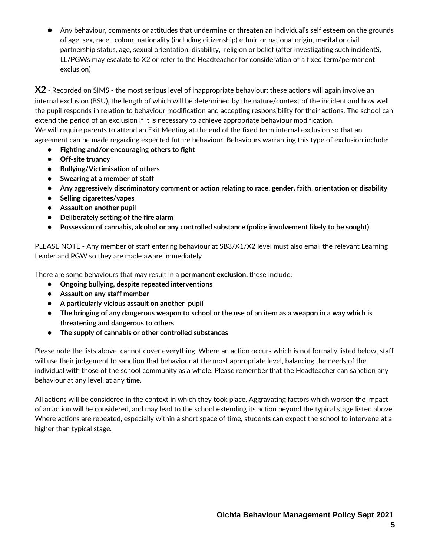Any behaviour, comments or attitudes that undermine or threaten an individual's self esteem on the grounds of age, sex, race, colour, nationality (including citizenship) ethnic or national origin, marital or civil partnership status, age, sexual orientation, disability, religion or belief (after investigating such incidentS, LL/PGWs may escalate to X2 or refer to the Headteacher for consideration of a fixed term/permanent exclusion)

**X2** - Recorded on SIMS - the most serious level of inappropriate behaviour; these actions will again involve an internal exclusion (BSU), the length of which will be determined by the nature/context of the incident and how well the pupil responds in relation to behaviour modification and accepting responsibility for their actions. The school can extend the period of an exclusion if it is necessary to achieve appropriate behaviour modification. We will require parents to attend an Exit Meeting at the end of the fixed term internal exclusion so that an agreement can be made regarding expected future behaviour. Behaviours warranting this type of exclusion include:

- **Fighting and/or encouraging others to fight**
- **Off-site truancy**
- **Bullying/Victimisation of others**
- **Swearing at a member of staff**
- **Any aggressively discriminatory comment or action relating to race, gender, faith, orientation or disability**
- **Selling cigarettes/vapes**
- **Assault on another pupil**
- **Deliberately setting of the fire alarm**
- **Possession of cannabis, alcohol or any controlled substance (police involvement likely to be sought)**

PLEASE NOTE - Any member of staff entering behaviour at SB3/X1/X2 level must also email the relevant Learning Leader and PGW so they are made aware immediately

There are some behaviours that may result in a **permanent exclusion,** these include:

- **Ongoing bullying, despite repeated interventions**
- **Assault on any staff member**
- **A particularly vicious assault on another pupil**
- **The bringing of any dangerous weapon to school or the use of an item as a weapon in a way which is threatening and dangerous to others**
- **The supply of cannabis or other controlled substances**

Please note the lists above cannot cover everything. Where an action occurs which is not formally listed below, staff will use their judgement to sanction that behaviour at the most appropriate level, balancing the needs of the individual with those of the school community as a whole. Please remember that the Headteacher can sanction any behaviour at any level, at any time.

All actions will be considered in the context in which they took place. Aggravating factors which worsen the impact of an action will be considered, and may lead to the school extending its action beyond the typical stage listed above. Where actions are repeated, especially within a short space of time, students can expect the school to intervene at a higher than typical stage.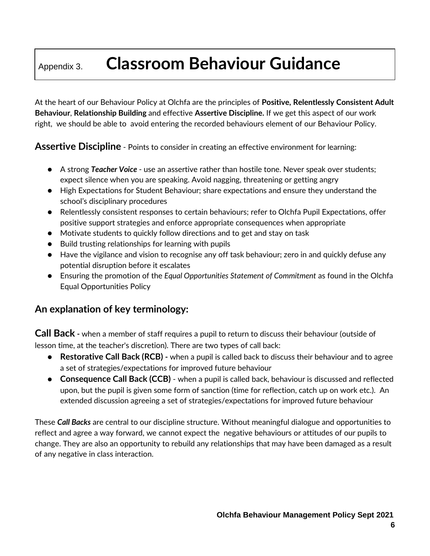# Appendix 3. **Classroom Behaviour Guidance**

At the heart of our Behaviour Policy at Olchfa are the principles of **Positive, Relentlessly Consistent Adult Behaviour**, **Relationship Building** and effective **Assertive Discipline.** If we get this aspect of our work right, we should be able to avoid entering the recorded behaviours element of our Behaviour Policy.

**Assertive Discipline** - Points to consider in creating an effective environment for learning:

- A strong *Teacher Voice*  use an assertive rather than hostile tone. Never speak over students; expect silence when you are speaking. Avoid nagging, threatening or getting angry
- High Expectations for Student Behaviour; share expectations and ensure they understand the school's disciplinary procedures
- Relentlessly consistent responses to certain behaviours; refer to Olchfa Pupil Expectations, offer positive support strategies and enforce appropriate consequences when appropriate
- Motivate students to quickly follow directions and to get and stay on task
- Build trusting relationships for learning with pupils
- Have the vigilance and vision to recognise any off task behaviour; zero in and quickly defuse any potential disruption before it escalates
- Ensuring the promotion of the *Equal Opportunities Statement of Commitment* as found in the Olchfa Equal Opportunities Policy

### **An explanation of key terminology:**

**Call Back -** when a member of staff requires a pupil to return to discuss their behaviour (outside of lesson time, at the teacher's discretion). There are two types of call back:

- **Restorative Call Back (RCB) -** when a pupil is called back to discuss their behaviour and to agree a set of strategies/expectations for improved future behaviour
- **Consequence Call Back (CCB)** when a pupil is called back, behaviour is discussed and reflected upon, but the pupil is given some form of sanction (time for reflection, catch up on work etc.). An extended discussion agreeing a set of strategies/expectations for improved future behaviour

These *Call Backs* are central to our discipline structure. Without meaningful dialogue and opportunities to reflect and agree a way forward, we cannot expect the negative behaviours or attitudes of our pupils to change. They are also an opportunity to rebuild any relationships that may have been damaged as a result of any negative in class interaction.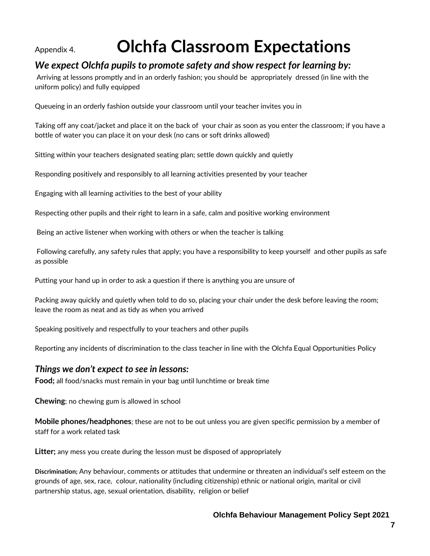# Appendix 4. **Olchfa Classroom Expectations**

### *We expect Olchfa pupils to promote safety and show respect for learning by:*

Arriving at lessons promptly and in an orderly fashion; you should be appropriately dressed (in line with the uniform policy) and fully equipped

Queueing in an orderly fashion outside your classroom until your teacher invites you in

Taking off any coat/jacket and place it on the back of your chair as soon as you enter the classroom; if you have a bottle of water you can place it on your desk (no cans or soft drinks allowed)

Sitting within your teachers designated seating plan; settle down quickly and quietly

Responding positively and responsibly to all learning activities presented by your teacher

Engaging with all learning activities to the best of your ability

Respecting other pupils and their right to learn in a safe, calm and positive working environment

Being an active listener when working with others or when the teacher is talking

Following carefully, any safety rules that apply; you have a responsibility to keep yourself and other pupils as safe as possible

Putting your hand up in order to ask a question if there is anything you are unsure of

Packing away quickly and quietly when told to do so, placing your chair under the desk before leaving the room; leave the room as neat and as tidy as when you arrived

Speaking positively and respectfully to your teachers and other pupils

Reporting any incidents of discrimination to the class teacher in line with the Olchfa Equal Opportunities Policy

#### *Things we don't expect to see in lessons:*

**Food;** all food/snacks must remain in your bag until lunchtime or break time

**Chewing**; no chewing gum is allowed in school

**Mobile phones/headphones**; these are not to be out unless you are given specific permission by a member of staff for a work related task

**Litter;** any mess you create during the lesson must be disposed of appropriately

**Discrimination;** Any behaviour, comments or attitudes that undermine or threaten an individual's self esteem on the grounds of age, sex, race, colour, nationality (including citizenship) ethnic or national origin, marital or civil partnership status, age, sexual orientation, disability, religion or belief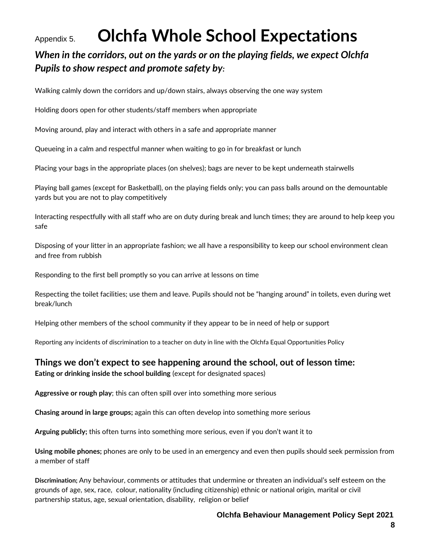# Appendix 5. **Olchfa Whole School Expectations**

## *When in the corridors, out on the yards or on the playing fields, we expect Olchfa Pupils to show respect and promote safety by:*

Walking calmly down the corridors and up/down stairs, always observing the one way system

Holding doors open for other students/staff members when appropriate

Moving around, play and interact with others in a safe and appropriate manner

Queueing in a calm and respectful manner when waiting to go in for breakfast or lunch

Placing your bags in the appropriate places (on shelves); bags are never to be kept underneath stairwells

Playing ball games (except for Basketball), on the playing fields only; you can pass balls around on the demountable yards but you are not to play competitively

Interacting respectfully with all staff who are on duty during break and lunch times; they are around to help keep you safe

Disposing of your litter in an appropriate fashion; we all have a responsibility to keep our school environment clean and free from rubbish

Responding to the first bell promptly so you can arrive at lessons on time

Respecting the toilet facilities; use them and leave. Pupils should not be "hanging around" in toilets, even during wet break/lunch

Helping other members of the school community if they appear to be in need of help or support

Reporting any incidents of discrimination to a teacher on duty in line with the Olchfa Equal Opportunities Policy

#### **Things we don't expect to see happening around the school, out of lesson time:**

**Eating or drinking inside the school building** (except for designated spaces)

**Aggressive or rough play**; this can often spill over into something more serious

**Chasing around in large groups;** again this can often develop into something more serious

**Arguing publicly;** this often turns into something more serious, even if you don't want it to

**Using mobile phones;** phones are only to be used in an emergency and even then pupils should seek permission from a member of staff

**Discrimination;** Any behaviour, comments or attitudes that undermine or threaten an individual's self esteem on the grounds of age, sex, race, colour, nationality (including citizenship) ethnic or national origin, marital or civil partnership status, age, sexual orientation, disability, religion or belief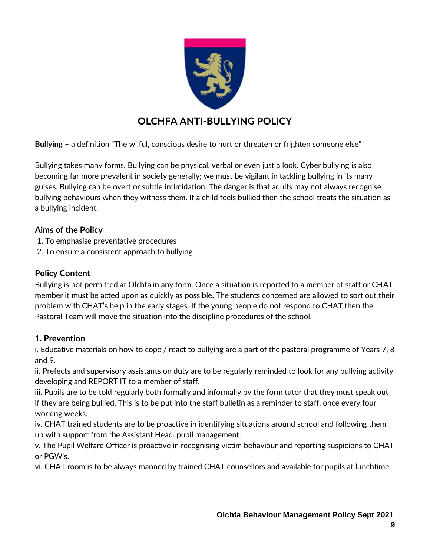

## **OLCHFA ANTI-BULLYING POLICY**

**Bullying** – a definition "The wilful, conscious desire to hurt or threaten or frighten someone else"

Bullying takes many forms. Bullying can be physical, verbal or even just a look. Cyber bullying is also becoming far more prevalent in society generally; we must be vigilant in tackling bullying in its many guises. Bullying can be overt or subtle intimidation. The danger is that adults may not always recognise bullying behaviours when they witness them. If a child feels bullied then the school treats the situation as a bullying incident.

#### **Aims of the Policy**

- 1. To emphasise preventative procedures
- 2. To ensure a consistent approach to bullying

#### **Policy Content**

Bullying is not permitted at Olchfa in any form. Once a situation is reported to a member of staff or CHAT member it must be acted upon as quickly as possible. The students concerned are allowed to sort out their problem with CHAT's help in the early stages. If the young people do not respond to CHAT then the Pastoral Team will move the situation into the discipline procedures of the school.

#### **1. Prevention**

i. Educative materials on how to cope / react to bullying are a part of the pastoral programme of Years 7, 8 and 9.

ii. Prefects and supervisory assistants on duty are to be regularly reminded to look for any bullying activity developing and REPORT IT to a member of staff.

iii. Pupils are to be told regularly both formally and informally by the form tutor that they must speak out if they are being bullied. This is to be put into the staff bulletin as a reminder to staff, once every four working weeks.

iv. CHAT trained students are to be proactive in identifying situations around school and following them up with support from the Assistant Head, pupil management.

v. The Pupil Welfare Officer is proactive in recognising victim behaviour and reporting suspicions to CHAT or PGW's.

vi. CHAT room is to be always manned by trained CHAT counsellors and available for pupils at lunchtime.